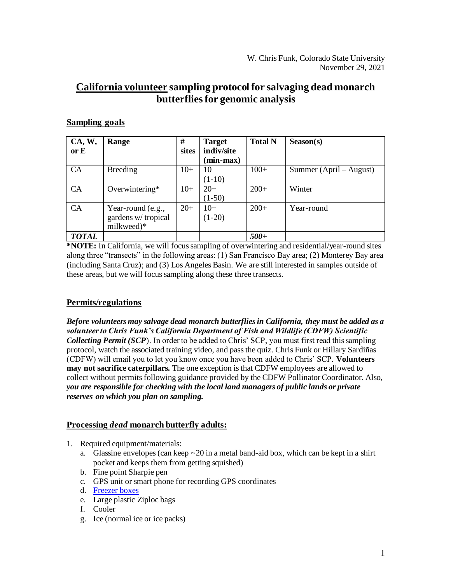# **California volunteer sampling protocol for salvaging dead monarch butterfliesfor genomic analysis**

# **Sampling goals**

| CA, W,       | Range              | #     | <b>Target</b> | <b>Total N</b> | Season(s)               |
|--------------|--------------------|-------|---------------|----------------|-------------------------|
| or E         |                    | sites | indiv/site    |                |                         |
|              |                    |       | (min-max)     |                |                         |
| CA           | <b>Breeding</b>    | $10+$ | 10            | $100+$         | Summer (April – August) |
|              |                    |       | $(1-10)$      |                |                         |
| CA           | Overwintering*     | $10+$ | $20+$         | $200+$         | Winter                  |
|              |                    |       | $(1-50)$      |                |                         |
| CA           | Year-round (e.g.,  | $20+$ | $10+$         | $200+$         | Year-round              |
|              | gardens w/tropical |       | $(1-20)$      |                |                         |
|              | milkweed)*         |       |               |                |                         |
| <b>TOTAL</b> |                    |       |               | $500+$         |                         |

**\*NOTE:** In California, we will focus sampling of overwintering and residential/year-round sites along three "transects" in the following areas: (1) San Francisco Bay area; (2) Monterey Bay area (including Santa Cruz); and (3) Los Angeles Basin. We are still interested in samples outside of these areas, but we will focus sampling along these three transects.

### **Permits/regulations**

*Before volunteers may salvage dead monarch butterflies in California, they must be added as a volunteer to Chris Funk's California Department of Fish and Wildlife (CDFW) Scientific Collecting Permit (SCP*). In order to be added to Chris' SCP, you must first read this sampling protocol, watch the associated training video, and pass the quiz. Chris Funk or Hillary Sardiñas (CDFW) will email you to let you know once you have been added to Chris' SCP. **Volunteers may not sacrifice caterpillars.** The one exception is that CDFW employees are allowed to collect without permits following guidance provided by the CDFW Pollinator Coordinator. Also, *you are responsible for checking with the local land managers of public lands or private reserves on which you plan on sampling.*

### **Processing** *dead* **monarch butterfly adults:**

- 1. Required equipment/materials:
	- a. Glassine envelopes (can keep  $\sim$  20 in a metal band-aid box, which can be kept in a shirt pocket and keeps them from getting squished)
	- b. Fine point Sharpie pen
	- c. GPS unit or smart phone for recording GPS coordinates
	- d. [Freezer boxes](https://www.amazon.com/Cardboard-Freezer-Box-Resistant-Coating/dp/B088D122FC/ref=sr_1_1_sspa?dchild=1&keywords=Cardboard+Cryo+Freezer+Box%2C+2%22+Boxes&qid=1625772194&sr=8-1-spons&psc=1&spLa=ZW5jcnlwdGVkUXVhbGlmaWVyPUExNjlaM0hUNjdLVTcwJmVuY3J5cHRlZElkPUEwNzg4MTMwMVlJOUlZRlpTRk5DTSZlbmNyeXB0ZWRBZElkPUEwMDM1NDE5NkdFMldSRURPVFNTJndpZGdldE5hbWU9c3BfYXRmJmFjdGlvbj1jbGlja1JlZGlyZWN0JmRvTm90TG9nQ2xpY2s9dHJ1ZQ==)
	- e. Large plastic Ziploc bags
	- f. Cooler
	- g. Ice (normal ice or ice packs)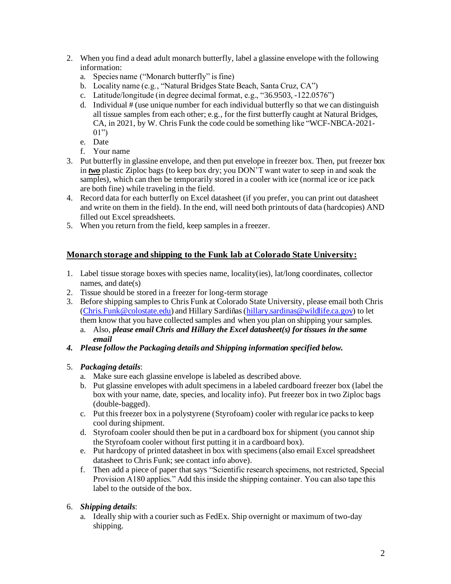- 2. When you find a dead adult monarch butterfly, label a glassine envelope with the following information:
	- a. Species name ("Monarch butterfly" is fine)
	- b. Locality name (e.g., "Natural Bridges State Beach, Santa Cruz, CA")
	- c. Latitude/longitude (in degree decimal format, e.g., "36.9503, -122.0576")
	- d. Individual # (use unique number for each individual butterfly so that we can distinguish all tissue samples from each other; e.g., for the first butterfly caught at Natural Bridges, CA, in 2021, by W. Chris Funk the code could be something like "WCF-NBCA-2021-  $01")$
	- e. Date
	- f. Your name
- 3. Put butterfly in glassine envelope, and then put envelope in freezer box. Then, put freezer box in *two* plastic Ziploc bags (to keep box dry; you DON'T want water to seep in and soak the samples), which can then be temporarily stored in a cooler with ice (normal ice or ice pack are both fine) while traveling in the field.
- 4. Record data for each butterfly on Excel datasheet (if you prefer, you can print out datasheet and write on them in the field). In the end, will need both printouts of data (hardcopies) AND filled out Excel spreadsheets.
- 5. When you return from the field, keep samples in a freezer.

# **Monarch storage and shipping to the Funk lab at Colorado State University:**

- 1. Label tissue storage boxes with species name, locality(ies), lat/long coordinates, collector names, and date(s)
- 2. Tissue should be stored in a freezer for long-term storage
- 3. Before shipping samplesto Chris Funk at Colorado State University, please email both Chris [\(Chris.Funk@colostate.edu](mailto:Chris.Funk@colostate.edu)) and Hillary Sardiñas [\(hillary.sardinas@wildlife.ca.gov](mailto:hillary.sardinas@wildlife.ca.gov)) to let them know that you have collected samples and when you plan on shipping your samples.
	- a. Also, *please email Chris and Hillary the Excel datasheet(s) for tissues in the same email*
- *4. Please follow the Packaging details and Shipping information specified below.*

### 5. *Packaging details*:

- a. Make sure each glassine envelope is labeled as described above.
- b. Put glassine envelopes with adult specimens in a labeled cardboard freezer box (label the box with your name, date, species, and locality info). Put freezer box in two Ziploc bags (double-bagged).
- c. Put this freezer box in a polystyrene (Styrofoam) cooler with regular ice packs to keep cool during shipment.
- d. Styrofoam cooler should then be put in a cardboard box for shipment (you cannot ship the Styrofoam cooler without first putting it in a cardboard box).
- e. Put hardcopy of printed datasheet in box with specimens (also email Excel spreadsheet datasheet to Chris Funk; see contact info above).
- f. Then add a piece of paper that says "Scientific research specimens, not restricted, Special Provision A180 applies." Add this inside the shipping container. You can also tape this label to the outside of the box.

### 6. *Shipping details*:

a. Ideally ship with a courier such as FedEx. Ship overnight or maximum of two-day shipping.